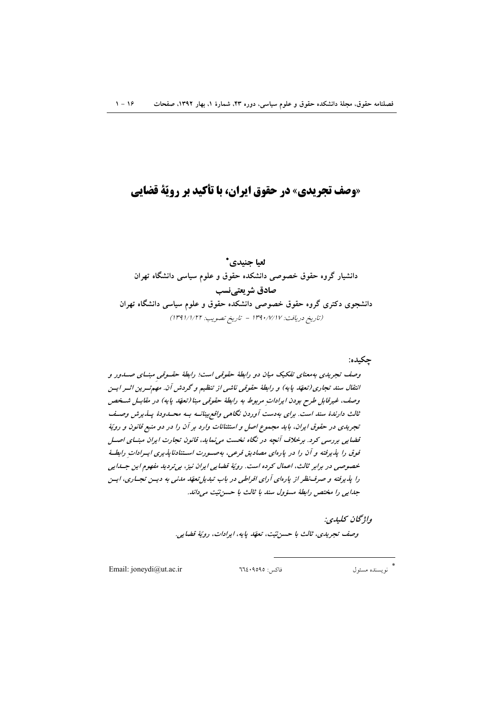# «وصف تجریدی» در حقوق ایران، با تأکید بر رویّة قضایی

# لعيا جنيدي\*

دانشیار گروه حقوق خصوصی دانشکده حقوق و علوم سیاسی دانشگاه تهران صادق شريعتينسب دانشجوی دکتری گروه حقوق خصوصی دانشکده حقوق و علوم سیاسی دانشگاه تهران (تاريخ دريافت: ١٣٩٠/٧/١٧ - تاريخ تصويب: ١٣٩١/١/٢٢)

## چکيده:

وصف تجریدی بهمعنای تفکیک میان دو رابطهٔ حقوقی است؛ رابطهٔ حقسوقی مبنسای صسدور و انتقال سند تجاری (تعهّد پایه) و رابطهٔ حقوقی ناشی از تنظیم و گردش آن. مهم توین اثور ایسن وصف، غیرقابل طرح بودن ایرادات مربوط به رابطهٔ حقوقی مبنا (تعهّد پایه) در مقابیل شیخص ثالث دارندهٔ سند است. برای بهدست آوردن نگاهی واقع بینانسه بسه محسدودهٔ پسذیرش وصیف تجریدی در حقوق ایران، باید مجموع اصل و استثنائات وارد بر آن را در دو منبع قانون و رویّهٔ قضایی بررسی کرد. برخلاف آنچه در نگاه نخست می نماید، قانون تجارت ایران مبنیای اصل قوق را پذیرفته و آن را در پارهای مصادیق فرعی، بهصورت استنادناپذیری ایسرادات رابطـهٔ خصوصی در برابر ثالث، اعمال کرده است. رویّهٔ قضایی ایران نیز، بی تردید مفهوم این جسدایی را پذیرفته و صرف نظر از پارهای آرای افراطی در باب تبدیل تعهّد مدنی به دیسن تجساری، ایسن جدایی را مختص رابطهٔ مسؤول سند با ثالث با حسن نیّت میداند.

> واۋىچان كىلىدى: وصف تجريدي، ثالث با حسن نيّت، تعهّد پايه، ايرادات، رويّة قضايي.

Email: joneydi@ut.ac.ir

 $772.4090:$ فاكس:

نو يسنده مسئول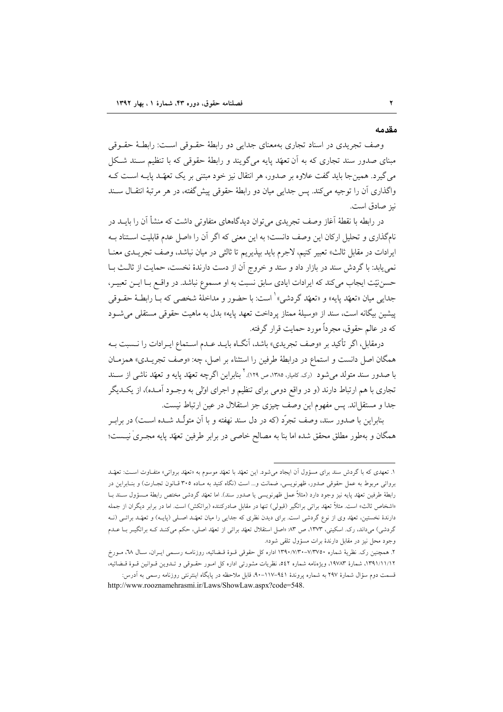#### مقدمه

وصف تجریدی در اسناد تجاری بهمعنای جدایی دو رابطهٔ حقـوقی اسـت: رابطـهٔ حقـوقی مبنای صدور سند تجاری که به آن تعهّد پایه میگویند و رابطهٔ حقوقی که با تنظیم سـند شـکل می گیرد. همینجا باید گفت علاوه بر صدور، هر انتقال نیز خود مبتنی بر یک تعهّـد پایــه اســت کــه واگذاري اَن را توجيه مي کند. پس جدايي ميان دو رابطهٔ حقوقي پيش گفته، در هر مرتبهٔ انتقـال سـند نيز صادق است.

در رابطه با نقطهٔ آغاز وصف تجریدی می توان دیدگاههای متفاوتی داشت که منشأ آن را بایــد در .<br>نام گذاری و تحلیل ارکان این وصف دانست؛ به این معنی که اگر آن را «اصل عدم قابلیت استناد بـه ايرادات در مقابل ثالث» تعبير كنيم، لاجرم بايد بپذيريم تا ثالثي در ميان نباشد، وصف تجريــدي معنــا نمي يابد: با گردش سند در بازار داد و ستد و خروج آن از دست دارندهٔ نخست، حمايت از ثالث بـا حسننيّت ايجاب مي كند كه ايرادات ايادي سابق نسبت به او مسموع نباشد. در واقـع بـا ايــن تعبيــر، جدايي ميان «تعهّد پايه» و «تعهّد گردشي» ْ است: با حضور و مداخلهٔ شخصي كه بــا رابطــهٔ حقــوقي ییشین بیگانه است، سند از «وسیلهٔ ممتاز پرداخت تعهد پایه» بدل به ماهیت حقوقی مستقل<sub>ی</sub> می شود که در عالم حقوق، مجرداً مورد حمایت قرار گرفته.

درمقابل، اگر تأکید بر «وصف تجریدی» باشد، آنگIه بایــد عــدم اســتماع ایــرادات را نــسبت بــه همگان اصل دانست و استماع در درابطهٔ طرفین را استثناء بر اصل، چه: «وصف تجریـدی» همزمـان با صدور سند متولد می شود (رک کامیار، ۱۳۸۵، ص ۱۲۹). ` بنابراین اگرچه تعهّد یایه و تعهّد ناشی از سـند تجاری با هم ارتباط دارند (و در واقع دومی برای تنظیم و اجرای اولی به وجــود آمــده)، از یکــدیگر جداً و مستقل اند. پس مفهوم این وصف چیزی جز استقلال در عین ارتباط نیست.

بنابراین با صدور سند، وصف تجرّد (که در دل سند نهفته و با آن متولّـد شــده اســت) در برابـر همگان و بهطور مطلق محقق شده اما بنا به مصالح خاصی در برابر طرفین تعهّد پایه مجـریٰ نیــست؛

۱. تعهدی که با گردش سند برای مسؤول آن ایجاد میشود. این تعهّد با تعهّد موسوم به «تعهّد برواتی» متفـّاوت اسـت: تعهّـد برواتی مربوط به عمل حقوقی صدور، ظهرنویسی، ضمانت و... است (نگاه کنید به مـاده ۳۰۵ قـانون تجـارت) و بنـابراین در رابطهٔ طرفین تعهّد پایه نیز وجود دارد (مثلاً عمل ظهرنویسی یا صدور سند). اما تعهّد گردشی مختص رابطهٔ مـسؤول سـند بــا «اشخاص ثالث» است. مثلاً تعهّد براتی براتگیر (قبولی) تنها در مقابل صادرکننده (براتکش) است. اما در برابر دیگران از جمله دارندهٔ نخستین، تعهّد وی از نوع گردشی است. برای دیدن نظری که جدایی را میان تعهّد اصـلی (پایـه) و تعهّد براتـی (نـه گردشی) میداند، رک. اسکینی، ۱۳۷۳، ص ۸۳ «اصل استقلال تعهّد براتی از تعهّد اصلی، حکم میکنـد کـه براتگیـر بـا عـدم وجود محل نیز در مقابل دارندهٔ برات مسؤول تلقی شود».

۲. همچنین رک. نظریهٔ شماره ۷/۳۷۵۰–۱۳۹۰/۷/۳۰ اداره کل حقوقی قــوهٔ قــضائیه، روزنامــه رسـمی ایــران، سـال ۲۸، مــورخ ۱۳۹۱/۱۱/۱۲، شمارهٔ ۱۹۷۸۳، ویژەنامه شماره ٥٤٢، نظریات مشورتی اداره کل امـور حقـوقی و تـدوین قـوانین قـوهٔ قـضائیه، قسمت دوم سؤال شمارهٔ ۲۹۷ به شماره پروندهٔ ۹٤۱–۱۱۷–۹۰، قابل ملاحظه در پایگاه اینترنتی روزنامه رسمی به اَدرس: http://www.rooznamehrasmi.ir/Laws/ShowLaw.aspx?code=548.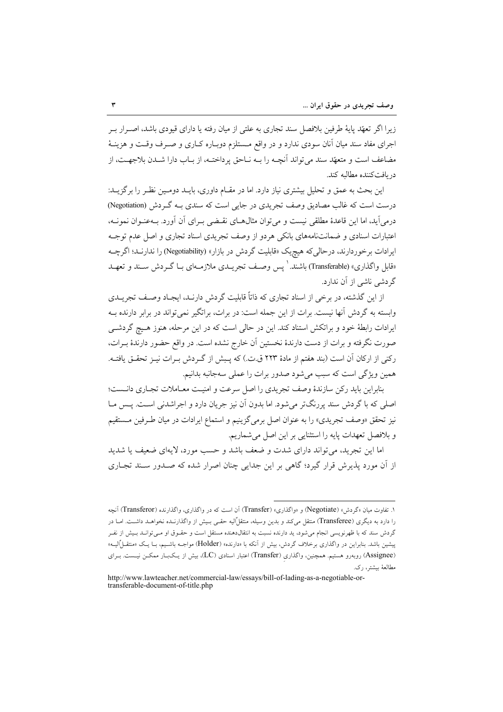زیرا اگر تعهّد پایهٔ طرفین بلافصل سند تجاری به علتی از میان رفته یا دارای قیودی باشد، اصـرار بـر اجرای مفاد سند میان آنان سودی ندارد و در واقع مــستلزم دوبـاره کــاری و صــرف وقـت و هزینــهٔ مضاعف است و متعهّد سند مي تواند آنچــه را بــه نــاحق پرداختــه، از بــاب دارا شــدن بلاجهــت، از در بافتكننده مطالبه كند.

این بحث به عمق و تحلیل بیشتری نیاز دارد. اما در مقـام داوری، بایــد دومـین نظـر را برگزیــد: درست است که غالب مصادیق وصف تجریدی در جایی است که سندی بـه گـردش (Negotiation) درمی آید، اما این قاعدهٔ مطلقی نیست و می توان مثال۱های نقبضی بـرای آن آورد. بـهعنـوان نمونـه، اعتبارات اسنادی و ضمانتنامههای بانکی هردو از وصف تجریدی اسناد تجاری و اصل عدم توجـه ایرادات برخوردارند، درحالی که هیچیک «قابلیت گردش در بازار» (Negotiability) را ندارنـد؛ اگرچــه «قابل واگذاری» (Transferable) باشند.' پس وصـف تجریــدی ملازمــهای بــا گــردش ســند و تعهــد گردشی ناشی از آن ندارد.

از این گذشته، در برخی از اسناد تجاری که ذاتاً قابلیت گردش دارنـد، ایجـاد وصـف تجریــدی وابسته به گردش آنها نیست. برات از این جمله است: در برات، براتگیر نمیتواند در برابر دارنده بـه ایرادات رابطهٔ خود و براتکش استناد کند. این در حالی است که در این مرحله، هنوز هـیچ گردشـی صورت نگرفته و برات از دست دارندهٔ نخستین آن خارج نشده است. در واقع حضور دارندهٔ بـرات، رکنی از ارکان آن است (بند هفتم از مادهٔ ۲۲۳ ق.ت.) که پـبش از گـردش بـرات نیـز تحقــق یافتــه. همین ویژگی است که سبب می شود صدور برات را عملی سهجانبه بدانیم.

بنابراین باید رکن سازندهٔ وصف تجریدی را اصل سرعت و امنیت معـاملات تجـاری دانـست؛ اصلی که با گردش سند پررنگتر می شود. اما بدون آن نیز جریان دارد و اجراشدنی است. پـس مــا نیز تحقق «وصف تجریدی» را به عنوان اصل برمیگزینیم و استماع ایرادات در میان طـرفین مـستقیم و بلافصل تعهدات پايه را استثنايي بر اين اصل مي شماريم.

اما این تجرید، می تواند دارای شدت و ضعف باشد و حسب مورد، لایهای ضعیف یا شدید از آن مورد یذیرش قرار گیرد؛ گاهی بر این جدایی چنان اصرار شده که صـدور سـند تجـاری

۱. تفاوت میان «گردش» (Negotiate) و «واگذاری» (Transfer) آن است که در واگذاری، واگذارنده (Transferor) آنچه را دارد به دیگری (Transferee) منتقل میکند و بدین وسیله، منتقلٌالیه حقبی بـیش از واگذارنـده نخواهـد داشـت. امـا در گردش سند که با ظهرنویسی انجام می شود، ید دارنده نسبت به انتقالدهنده مستقل است و حقـوق او مـی توانـد بـیش از نفـر پیشین باشد. بنابراین در واگذاری برخلاف گردش، بیش از آنکه با «دارنده» (Holder) مواجـه باشـیم، بـا یـک «منتقــلٌالیــه» (Assignee) روبهرو هستیم. همچنین، واگذاری (Transfer) اعتبار اسنادی (LC، بیش از یـکبـار ممکــن نیــست. بــرای مطالعهٔ بیشتر، رک.

http://www.lawteacher.net/commercial-law/essays/bill-of-lading-as-a-negotiable-ortransferable-document-of-title.php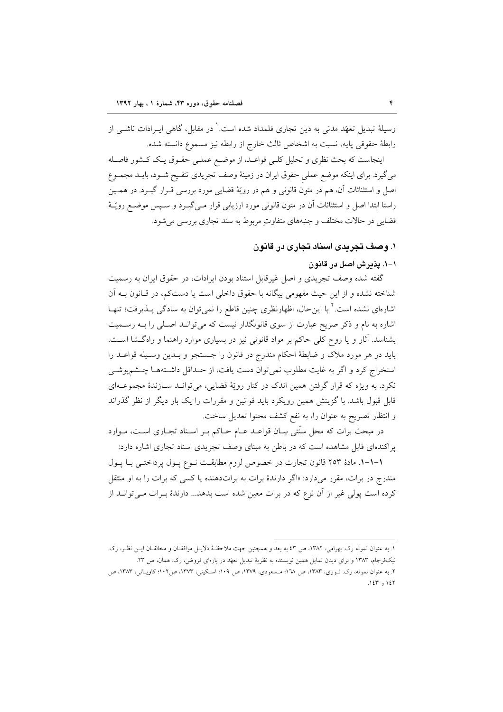وسیلهٔ تبدیل تعهّد مدنی به دین تجاری قلمداد شده است. ٰ در مقابل، گاهی ایـرادات ناشــی از رابطهٔ حقوقی پایه، نسبت به اشخاص ثالث خارج از رابطه نیز مسموع دانسته شده.

اینجاست که بحث نظری و تحلیل کلـی قواعـد، از موضـع عملـی حقـوق یـک کـشور فاصـله میگیرد. برای اینکه موضع عملی حقوق ایران در زمینهٔ وصف تجریدی تنقـیح شــود، بایــد مجمــوع اصل و استثنائات آن، هم در متون قانونی و هم در رویّهٔ قضایی مورد بررسی قـرار گیـرد. در همـین راستا ابتدا اصل و استثنائات آن در متون قانونی مورد ارزیابی قرار مـی&بـرد و سـپس موضـع رویّـهٔ قضایی در حالات مختلف و جنبههای متفاوت مربوط به سند تجاری بررسی می شود.

## ۱. وصف تجریدی اسناد تجاری در قانون

١-١. يذيرش اصل در قانون

گفته شده وصف تجریدی و اصل غیرقابل استناد بودن ایرادات، در حقوق ایران به رسمیت شناخته نشده و از این حیث مفهومی بیگانه با حقوق داخلی است یا دستکم، در قـانون بـه آن اشارهای نشده است.<sup>۲</sup> با اینحال، اظهارنظری چنین قاطع را نمیتوان به سادگی پــذیرفت؛ تنهــا اشاره به نام و ذکر صریح عبارت از سوی قانونگذار نیست که می توانـد اصـلی را بـه رسـمیت بشناسد. آثار و یا روح کلی حاکم بر مواد قانونی نیز در بسیاری موارد راهنما و راهگشا است. بايد در هر مورد ملاک و ضابطهٔ احکام مندرج در قانون را جستجو و بـدين وسـيله قواعـد را استخراج كرد و اگر به غايت مطلوب نمي توان دست يافت، از حـداقل داشـتههـا چـشمپوشـي نکرد. به ویژه که قرار گرفتن همین اندک در کنار رویّهٔ قضایی، می توانـد سـازندهٔ مجموعـهای قابل قبول باشد. با گزینش همین رویکرد باید قوانین و مقررات را یک بار دیگر از نظر گذراند و انتظار تصریح به عنوان را، به نفع کشف محتوا تعدیل ساخت.

در مبحث برات که محل سنّتی بیـان قواعـد عـام حـاکم بـر اسـناد تجـاری اسـت، مـوارد یر اکندهای قابل مشاهده است که در باطن به مبنای وصف تجریدی اسناد تجاری اشاره دارد:

١-١-١. مادة ٢٥٣ قانون تجارت در خصوص لزوم مطابقت نـوع يـول يرداختـي بـا يـول مندرج در برات، مقرر میدارد: «اگر دارندهٔ برات به براتدهنده یا کسی که برات را به او منتقل كرده است پولي غير از آن نوع كه در برات معين شده است بدهد... دارندهٔ بـرات مـيتوانــد از

١. به عنوان نمونه رک. بهرامي، ١٣٨٢، ص ٤٣ به بعد و همچنين جهت ملاحظـۀ دلايـل موافقـان و مخالفـان ايـن نظـر، رک. نیکفرجام، ۱۳۸۳ و برای دیدن تمایل همین نویسنده به نظریهٔ تبدیل تعهّد در یارهای فروض، رک. همان، ص ۲۳. ۲. به عنوان نمونه، رک. نــوری، ۱۳۸۳، ص ۱۸'۱؛ مــسعودی، ۱۳۷۹، ص ۱۰۹؛ اسـکینی، ۱۳۷۳، ص۱۰۲؛ کاویــانی، ۱۳۸۳، ص ۱٤۳ و ۱٤۳.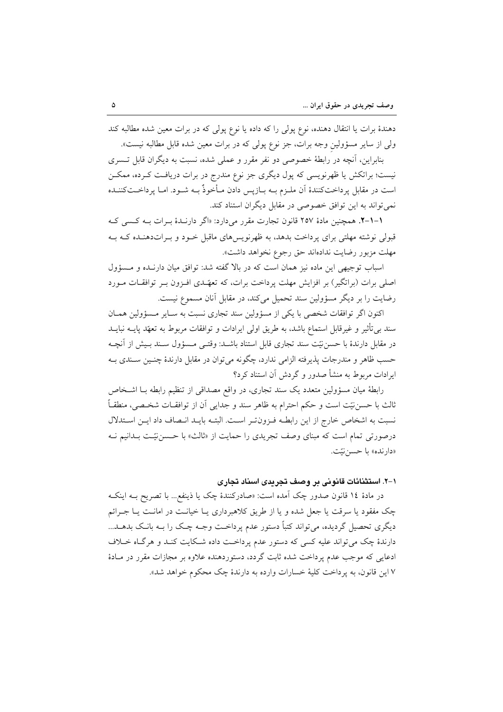دهندهٔ برات یا انتقال دهنده، نوع پولی را که داده یا نوع پولی که در برات معین شده مطالبه کند ولی از سایر مسؤولین وجه برات، جز نوع پولی که در برات معین شده قابل مطالبه نیست».

بنابراین، آنچه در رابطهٔ خصوصی دو نفر مقرر و عملی شده، نسبت به دیگران قابل تـسری نیست؛ براتکش یا ظهرنویسی که پول دیگری جز نوع مندرج در برات دریافت کـرده، ممکـن است در مقابل پرداختکنندهٔ آن ملـزم بــه بــازپس دادن مــأخوذٌ بــه شــود. امــا پرداخــتکننــده نمی تواند به این توافق خصوصی در مقابل دیگران استناد کند.

۰۱–۲. همچنین مادهٔ ۲۵۷ قانون تجارت مقرر میدارد: «اگر دارنـدهٔ بـرات بـه کـسی کـه قبولی نوشته مهلتی برای پرداخت بدهد، به ظهرنویسهای ماقبل خـود و بـراتدهنـده کـه بـه مهلت مزبور رضايت ندادهاند حق رجوع نخواهد داشت».

اسباب توجیهی این ماده نیز همان است که در بالا گفته شد: توافق میان دارنـده و مـسؤول اصلی برات (براتگیر) بر افزایش مهلت پرداخت برات، که تعهّـدی افـزون بـر توافقــات مــورد رضایت را بر دیگر مسؤولین سند تحمیل میکند، در مقابل آنان مسموع نیست.

اکنون اگر توافقات شخصی با یکی از مسؤولین سند تجاری نسبت به سـایر مـسؤولین همـان سند بی تأثیر و غیرقابل استماع باشد، به طریق اولی ایرادات و توافقات مربوط به تعهّد پایــه نبایــد در مقابل دارندهٔ با حسن نیّت سند تجاری قابل استناد باشــد: وقتــی مــسؤول ســند بــیش از آنچــه حسب ظاهر و مندرجات پذیرفته الزامی ندارد، چگونه می توان در مقابل دارندهٔ چنـین سـندی بـه ایرادات مربوط به منشأ صدور و گردش آن استناد کرد؟

رابطهٔ میان مسؤولین متعدد یک سند تجاری، در واقع مصداقی از تنظیم رابطه بـا اشـخاص ثالث با حسننيّت است و حكم احترام به ظاهر سند و جدايي آن از توافقــات شخــصي، منطقــاً نسبت به اشخاص خارج از این رابطـه فـزونتـر اسـت. البتـه بایـد انـصاف داد ایـن اسـتدلال درصورتی تمام است که مبنای وصف تجریدی را حمایت از «ثالث» با حسننیّت بـدانیم نـه «دارنده» با حسن نيّت.

#### ۱–۲. استثنائات قانونی بر وصف تجریدی اسناد تجاری

در مادهٔ ۱۶ قانون صدور چک آمده است: «صادرکنندهٔ چک یا ذینفع... با تصریح بـه اینکـه چک مفقود یا سرقت یا جعل شده و یا از طریق کلاهبرداری یـا خیانـت در امانـت یـا جـرائم دیگری تحصیل گردیده، می تواند کتباً دستور عدم پرداخـت وجـه چـک را بـه بانـک بدهــد... دارندهٔ چک می تواند علیه کسی که دستور عدم پرداخت داده شکایت کنـد و هرگـاه خـلاف ادعایی که موجب عدم پرداخت شده ثابت گردد، دستوردهنده علاوه بر مجازات مقرر در مـادهٔ ٧ اين قانون، به يرداخت كليهٔ خسارات وارده به دارندهٔ چک محکوم خواهد شد».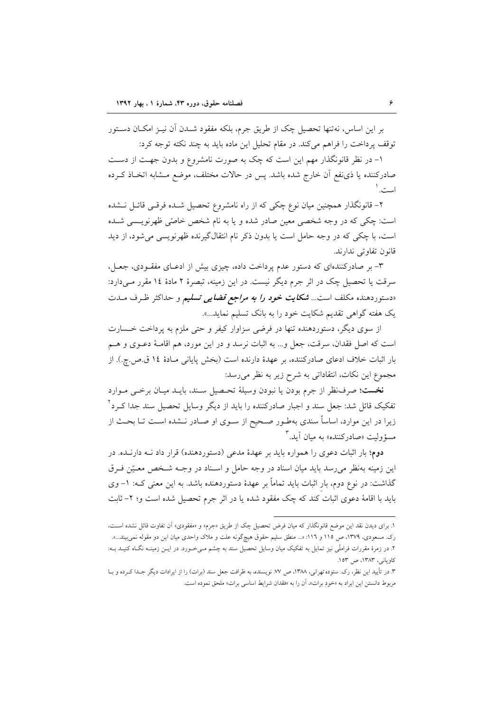بر این اساس، نهتنها تحصیل چک از طریق جرم، بلکه مفقود شــدن آن نیــز امکـان دســتور توقف يرداخت را فراهم مي كند. در مقام تحليل اين ماده بايد به چند نكته توجه كرد:

۱– در نظر قانونگذار مهم این است که چک به صورت نامشروع و بدون جهت از دست صادرکننده یا ذی نفع آن خارج شده باشد. پس در حالات مختلف، موضع مـشابه اتخـاذ کـرده است.'

۲- قانونگذار همچنین میان نوع چکی که از راه نامشروع تحصیل شـده فرقـی قائـل نـشده است: چکی که در وجه شخصی معین صادر شده و یا به نام شخص خاصّی ظهرنویـسی شـده است، با چکی که در وجه حامل است یا بدون ذکر نام انتقال گیرنده ظهرنویسی می شود، از دید قانون تفاوتي ندارند.

۳- بر صادرکنندهای که دستور عدم پرداخت داده، چیزی بیش از ادعـای مفقـودی، جعـل، سرقت یا تحصیل چک در اثر جرم دیگر نیست. در این زمینه، تبصرهٔ ۲ مادهٔ ۱۶ مقرر مـیدارد: «دستوردهنده مکلف است... *شکایت خود را به مراجع قضایی تسلیم و حد*اکثر ظـرف مــدت یک هفته گواهی تقدیم شکایت خود را به بانک تسلیم نماید...».

از سوی دیگر، دستوردهنده تنها در فرضی سزاوار کیفر و حتی ملزم به پرداخت خـسارت است كه اصل فقدان، سرقت، جعل و... به اثبات نرسد و در اين مورد، هم اقامـهٔ دعــوى و هــم بار اثبات خلاف ادعای صادرکننده، بر عهدهٔ دارنده است (بخش پایانی مـادهٔ ۱۶ ق.ص.چ.). از مجموع این نکات، انتقاداتی به شرح زیر به نظر می رسد:

نخست؛ صرفنظر از جرم بودن يا نبودن وسيلة تحـصيل سـند، بايــد ميــان برخــي مــوارد تفکیک قائل شد: جعل سند و اجبار صادرکننده را باید از دیگر وسایل تحصیل سند جدا کـرد آ زیرا در این موارد، اساساً سندی بهطـور صـحیح از سـوی او صـادر نــشده اسـت تـا بحـث از مسؤ وليت «صادر كننده» به ميان آيد.<sup>۳</sup>

دوم؛ بار اثبات دعوی را همواره باید بر عهدهٔ مدعی (دستوردهنده) قرار داد نــه دارنــده. در این زمینه بهنظر می رسد باید میان اسناد در وجه حامل و اسـناد در وجـه شـخص معـیّن فـرق گذاشت: در نوع دوم، بار اثبات باید تماماً بر عهدهٔ دستوردهنده باشد. به این معنی کـه: ١– وی باید با اقامهٔ دعوی اثبات کند که چک مفقود شده یا در اثر جرم تحصیل شده است و؛ ۲- ثابت

۱. برای دیدن نقد این موضع قانونگذار که میان فرض تحصیل چک از طریق «جرم» و «مفقودی» آن تفاوت قائل نشده است، رک. مسعودی، ۱۳۷۹، ص ۱۱۵ و ۱۱٦: «... منطق سلیم حقوق هیچگونه علت و ملاک واحدی میان این دو مقوله نمی بیند...». ۲. در زمرهٔ مقررات فراملّی نیز تمایل به تفکیک میان وسایل تحصیل سند به چشم مـیخـورد. در ایــن زمینــه نگــاه کنیــد بــه: کاویانی، ۱۳۸۳، ص ۱۵۳.

۳. در تأييد اين نظر، رک. ستوده تهراني، ١٣٨٨، ص ٧٧. نويسنده، به ظرافت جعل سند (برات) را از ايرادات ديگر جـدا كـرده و بــا مربوط دانستن این ایراد به «خودِ برات»، آن را به «فقدان شرایط اساسی برات» ملحق نموده است.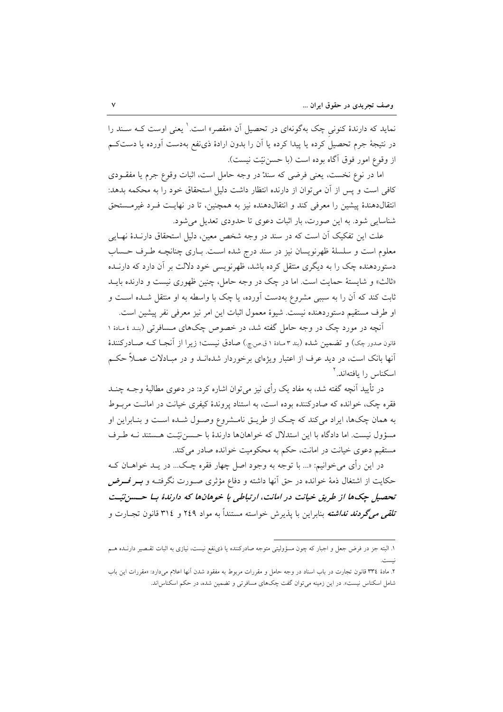نماید که دارندهٔ کنونی چک بهگونهای در تحصیل آن «مقصر» است. ٰ یعنی اوست کـه سـند را در نتیجهٔ جرم تحصیل کرده یا پیدا کرده یا آن را بدون ارادهٔ ذی نفع بهدست آورده یا دستکم از وقوع امور فوق آگاه بوده است (با حسننيّت نيست).

اما در نوع نخست، یعنی فرضی که سندْ در وجه حامل است، اثبات وقوع جرم یا مفقـودی كافي است و يس از آن مي توان از دارنده انتظار داشت دليل استحقاق خود را به محكمه بدهد: انتقال دهندهٔ پیشین را معرفی کند و انتقال دهنده نیز به همچنین، تا در نهایـت فـرد غیرمـستحق شناسایی شود. به این صورت، بار اثبات دعوی تا حدودی تعدیل می شود.

علت این تفکیک آن است که در سند در وجه شخص معین، دلیل استحقاق دارنـدهٔ نهـایی معلوم است و سلسلهٔ ظهرنویسان نیز در سند درج شده است. بـاری چنانچــه طـرف حـساب دستوردهنده چک را به دیگری منتقل کرده باشد، ظهرنویسی خود دلالت بر آن دارد که دارنــده «ثالث» و شایستهٔ حمایت است. اما در چک در وجه حامل، چنین ظهوری نیست و دارنده بایـد ثابت کند که اَن را به سببی مشروع بهدست اَورده، یا چک با واسطه به او منتقل شــده اســت و او طرف مستقيم دستوردهنده نيست. شيوهٔ معمول اثبات اين امر نيز معرفي نفر پيشين است.

آنچه در مورد چک در وجه حامل گفته شد، در خصوص چکهای مـسافرتی (بنـد ٤ مـادهٔ ١ قانون صدور چک) و تضمین شده (بند ۳ مـادهٔ ۱ ق.ص.چ.) صادق نیست؛ زیرا از آنجـا کـه صـادرکنندهٔ آنها بانک است، در دید عرف از اعتبار ویژهای برخوردار شدهانـد و در مبـادلات عمــلاً حکـم اسکناس را پافتهاند.<sup>۲</sup>

در تأیید آنچه گفته شد، به مفاد یک رأی نیز می توان اشاره کرد: در دعوی مطالبهٔ وجــه چنــد فقره چک، خوانده که صادرکننده بوده است، به استناد پروندهٔ کیفری خیانت در امانـت مربــوط به همان چکها، ایراد میکند که چک از طریــق نامــشروع وصــول شــده اســت و بنــابراین او مسؤول نیست. اما دادگاه با این استدلال که خواهانها دارندهٔ با حسننیت هستند نـه طرف مستقیم دعوی خیانت در امانت، حکم به محکومیت خوانده صادر می کند.

در این رأی میخوانیم: «... با توجه به وجود اصل چهار فقره چـک... در یــد خواهــان کــه حکایت از اشتغال ذمهٔ خوانده در حق اَنها داشته و دفاع مؤثری صـورت نگرفتـه و **بــر** *فـــرض* تحصیل چکها از طریق خیانت در امانت، ارتباطی با خوهانها که دارندهٔ با حسین تیت تل*قی میگردند نداشته* بنابراین با پذیرش خواسته مستنداً به مواد ۲٤۹ و ۳۱٤ قانون تجــارت و

١. البته جز در فرض جعل و اجبار كه چون مسؤوليتي متوجه صادركننده يا ذي نفع نيست، نيازي به اثبات تقـصير دارنــده هــم

۲. مادهٔ ۳۳٤ قانون تجارت در باب اسناد در وجه حامل و مقررات مربوط به مفقود شدن آنها اعلام میدارد: «مقررات این باب شامل اسکناس نیست». در این زمینه می توان گفت چکهای مسافرتی و تضمین شده، در حکم اسکناس اند.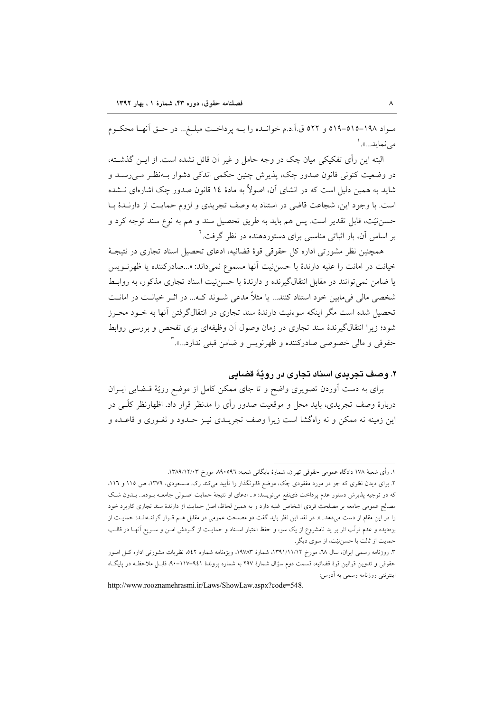مـواد ١٩٨-١٥٥-٥١٩ و ٥٢٢ ق.آ.د.م خوانـده را بــه پرداخـت مبلــغ... در حــق آنهــا محكــوم مے نماید...».`

البته این رأی تفکیکی میان چک در وجه حامل و غیر آن قائل نشده است. از ایــن گذشــته، در وضعیت کنونی قانون صدور چک، پذیرش چنین حکمی اندکی دشوار بـهنظـر مـی,رسـد و شاید به همین دلیل است که در انشای آن، اصولاً به مادهٔ ۱۶ قانون صدور چک اشارهای نــشده است. با وجود این، شجاعت قاضی در استناد به وصف تجریدی و لزوم حمایت از دارنـدهٔ بـا حسن نيّت، قابل تقدير است. پس هم بايد به طريق تحصيل سند و هم به نوع سند توجه كرد و بر اساس آن، بار اثباتی مناسبی برای دستوردهنده در نظر گرفت. ٔ

همچنین نظر مشورتی اداره کل حقوقی قوهٔ قضائیه، ادعای تحصیل اسناد تجاری در نتیجـهٔ خيانت در امانت را عليه دارندهٔ با حسن نيت آنها مسموع نمي داند: «...صادركننده يا ظهرنويس یا ضامن نمی توانند در مقابل انتقالگیرنده و دارندهٔ با حسننیت اسناد تجاری مذکور، به روابط شخصی مالی فیمابین خود استناد کنند... یا مثلاً مدعی شـوند کـه... در اثـر خیانـت در امانـت تحصیل شده است مگر اینکه سوءنیت دارندهٔ سند تجاری در انتقالگرفتن آنها به خــود محـرز شود؛ زیرا انتقالگیرندهٔ سند تجاری در زمان وصول آن وظیفهای برای تفحص و بررسی روابط حقوقي و مالي خصوصي صادركننده و ظهرنويس و ضامن قبلي ندارد...».۳

۲. وصف تجریدی اسناد تجاری در رویّهٔ قضایی

برای به دست آوردن تصویری واضح و تا جای ممکن کامل از موضع رویّهٔ قـضایی ایــران دربارهٔ وصف تجریدی، باید محل و موقعیت صدور رأی را مدنظر قرار داد. اظهارنظر کلّــی در این زمینه نه ممکن و نه راهگشا است زیرا وصف تجریــدی نیـز حــدود و ثغــوری و قاعــده و

http://www.rooznamehrasmi.ir/Laws/ShowLaw.aspx?code=548.

١. رأى شعبة ١٧٨ دادگاه عمومي حقوقي تهران، شمارة بايگاني شعبه: ٥٩٦، ٥٩٨ مورخ ١٣٨٩/١٢/٠٣.

۲. برای دیدن نظری که جز در مورد مفقودی چک، موضع قانونگذار را تأیید میکند رک. مـسعودی، ۱۳۷۹، ص ۱۱۵ و ۱۱۲. که در توجیه پذیرش دستور عدم پرداخت ذی نفع می نویسد: «... ادعای او نتیجهٔ حمایت اصـولی جامعـه بـوده... بـدون شـک مصالح عمومی جامعه بر مصلحت فردی اشخاص غلبه دارد و به همین لحاظ، اصل حمایت از دارندهٔ سند تجاری کاربرد خود را در این مقام از دست میدهد...». در نقد این نظر باید گفت دو مصلحت عمومی در مقابل هـم قـرار گرفتـهانـد: حمایــت از بزهدیده و عدم ترتّب اثر بر ید نامشروع از یک سو، و حفظ اعتبار اسـناد و حمایـت از گــردش امــن و ســریع آنهــا در قالــب حمایت از ثالث با حسننیّت، از سوی دیگر.

۳. روزنامه رسمی ایران، سال ۲۸، مورخ ۱۳۹۱/۱۱/۱۲، شمارهٔ ۱۹۷۸۳، ویژهنامه شماره ۵٤۲، نظریات مشورتی اداره کـل امـور حقوقی و تدوین قوانین قوهٔ قضائیه، قسمت دوم سؤال شمارهٔ ۲۹۷ به شماره پروندهٔ ۹٤۱–۱۷–۹۰، قابـل ملاحظـه در پایگـاه اینترنتی روزنامه رسمی به آدرس: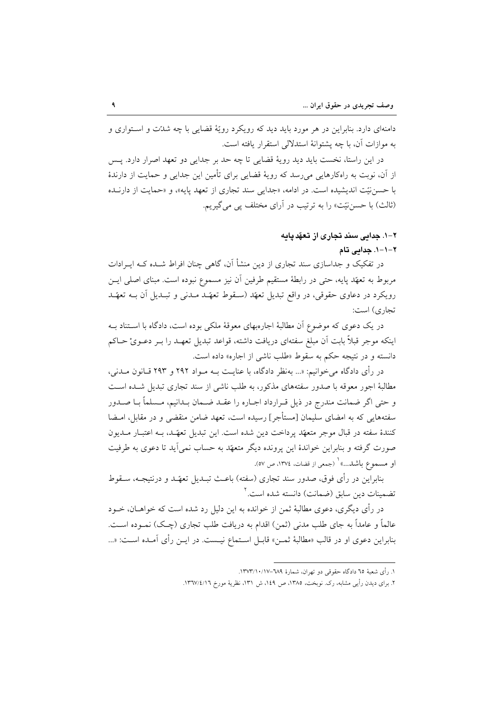دامنهای دارد. بنابراین در هر مورد باید دید که رویکرد رویّهٔ قضایی با چه شدّت و استواری و يه موازات آن، يا چه پشتوانهٔ استدلالي استقرار پافته است.

در این راستا، نخست باید دید رویهٔ قضایی تا چه حد بر جدایی دو تعهد اصرار دارد. پس از آن، نوبت به راهکارهایی می رسد که رویهٔ قضایی برای تأمین این جدایی و حمایت از دارندهٔ با حسن نیّت اندیشیده است. در ادامه، «جدایی سند تجاری از تعهد پایه»، و «حمایت از دارنـده (ثالث) با حسن نیّت» را به ترتیب در آرای مختلف یی می گیریم.

# ۲–۱. جدایی سند تجاری از تعهّدیایه

#### ٢-١-١. جدائی تام

در تفکیک و جداسازی سند تجاری از دین منشأ آن، گاهی چنان افراط شـده کـه ایــرادات مربوط به تعهّد پایه، حتی در رابطهٔ مستقیم طرفین آن نیز مسموع نبوده است. مبنای اصلی ایــن رویکرد در دعاوی حقوقی، در واقع تبدیل تعهّد (سـقوط تعهّـد مـدنی و تبـدیل آن بــه تعهّـد تجاري) است:

در یک دعوی که موضوع آن مطالبهٔ اجارهبهای معوقهٔ ملکی بوده است، دادگاه با اسـتناد بـه اينكه موجر قبلاً بابت آن مبلغ سفتهاي دريافت داشته، قواعد تبديل تعهـد را بــر دعــويْ حــاكم دانسته و در نتیجه حکم به سقوط «طلب ناشی از اجاره» داده است.

در رأى دادگاه مىخوانيم: «... بهنظر دادگاه، با عنايـت بــه مــواد ٢٩٢ و ٢٩٣ قــانون مــدنى، مطالبهٔ اجور معوقه با صدور سفتههای مذکور، به طلب ناشی از سند تجاری تبدیل شـده اسـت و حتى اگر ضمانت مندرج در ذيل قـرارداد اجــاره را عقــد ضــمان بــدانيم، مــسلماً بــا صــدور سفتههایی که به امضای سلیمان [مستأجر] رسیده است، تعهد ضامن منقضی و در مقابل، امـضا كنندهٔ سفته در قبال موجر متعهّد پرداخت دين شده است. اين تبديل تعهّـد، بـه اعتبـار مــديون صورت گرفته و بنابراین خواندهٔ این پرونده دیگر متعهّد به حساب نمی آید تا دعوی به طرفیت او مسموع باشد....» (جمعي از قضات، ١٣٧٤، ص ٥٧).

بنابراین در رأی فوق، صدور سند تجاری (سفته) باعث تبـدیل تعهّـد و درنتیجـه، سـقوط تضمينات دين سابق (ضمانت) دانسته شده است.<sup>۲</sup>

در رأى ديگرى، دعوى مطالبهٔ ثمن از خوانده به اين دليل رد شده است كه خواهــان، خــود عالماً و عامداً به جای طلب مدنی (ثمن) اقدام به دریافت طلب تجاری (چـک) نمـوده اسـت. بنابراین دعوی او در قالب «مطالبهٔ ثمــن» قابــل اســتماع نیــست. در ایــن رأی آمــده اســت: «...

١. رأى شعبة ٦٥ دادگاه حقوقي دو تهران، شمارة ٦٨٩–١٣٧٣/١٠/١٣٧٣.

۲. برای دیدن رأیی مشابه، رک. نوبخت، ۱۳۸۵، ص ۱٤۹، ش ۱۳۱، نظریهٔ مورخ ۱۳٦۷/٤/۱٦.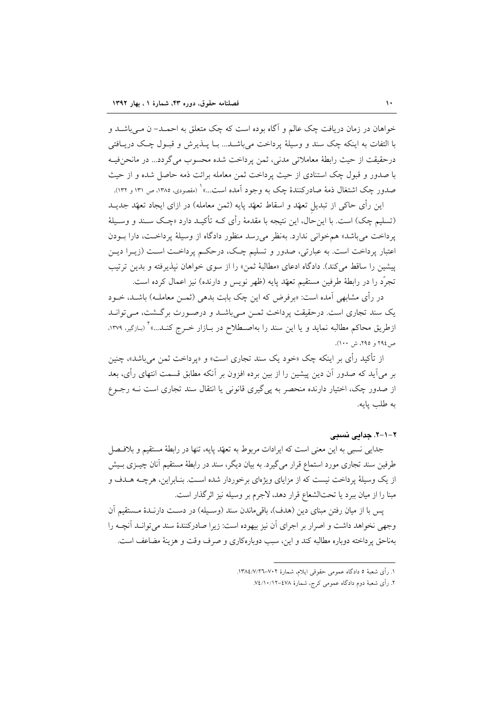خواهان در زمان دریافت چک عالم و آگاه بوده است که چک متعلق به احمـد- ن مـی باشـد و با التفات به اينكه چک سند و وسيلهٔ يرداخت مي باشــد... بــا پـــذيرش و قبــول چــک دريـــافتـي درحقيقت از حيث رابطة معاملاتي مدني، ثمن يرداخت شده محسوب مي گردد... در مانحن فيـه با صدور و قبول چک استنادی از حیث یرداخت ثمن معامله برائت ذمه حاصل شده و از حیث صدور چک اشتغال ذمهٔ صادرکنندهٔ چک به وجود آمده است…» (مقصودی، ۱۳۸۵، ص ۱۳۱ و ۱۳۲).

این رأی حاکی از تبدیل تعهّد و اسقاط تعهّد پایه (ثمن معامله) در ازای ایجاد تعهّد جدیــد (تسليم چک) است. با اين حال، اين نتيجه با مقدمهٔ رأى کـه تأکيـد دارد «چـک سـند و وسـيلهٔ ير داخت مي باشد» هم خواني ندارد. به نظر مي رسد منظور دادگاه از وسيلهٔ ير داخـت، دارا بـودن اعتبار پرداخت است. به عبارتی، صدور و تسلیم چک، درحکم پرداخـت اسـت (زیــرا دیــن پیشین را ساقط می کند). دادگاه ادعای «مطالبهٔ ثمن» را از سوی خواهان نیذیرفته و بدین ترتیب تجرَّد را در رابطهٔ طرفین مستقیم تعهَّد پایه (ظهر نویس و دارنده) نیز اعمال کرده است.

در رأى مشابهى آمده است: «برفرض كه اين چک بابت بدهى (ثمــن معاملــه) باشــد، خــود یک سند تجاری است. درحقیقت پرداخت ثمـن مـیباشـد و درصـورت برگـشت، مـیتوانـد ازطریق محاکم مطالبه نماید و یا این سند را بهاصـطلاح در بــازار خــرج کنــد...»<sup>۲</sup> (بـازگیر، ۱۳۷۹، ص1۹٤ و ٢٩٥، ش ١٠٠).

از تأکید رأی بر اینکه چک «خود یک سند تجاری است» و «پرداخت ثمن میباشد»، چنین بر می اَید که صدور اَن دین پیشین را از بین برده افزون بر اَنکه مطابق قسمت انتهای رأی، بعد از صدور چک، اختیار دارنده منحصر به پی گیری قانونی یا انتقال سند تجاری است نـه رجــوع به طلب يايه.

#### ۲-۱-۲. جدایی نسبی

جدایی نسبی به این معنی است که ایرادات مربوط به تعهّد پایه، تنها در رابطهٔ مستقیم و بلافهال طرفین سند تجاری مورد استماع قرار میگیرد. به بیان دیگر، سند در رابطهٔ مستقیم آنان چیــزی بــیش از یک وسیلهٔ یرداخت نیست که از مزایای ویژهای برخوردار شده اسـت. بنـابراین، هرچــه هــدف و مبنا را از میان ببرد یا تحتالشعاع قرار دهد، لاجرم بر وسیله نیز اثرگذار است.

پس با از میان رفتن مبنای دین (هدف)، باقیماندن سند (وسـیله) در دسـت دارنـدهٔ مـستقیم آن وجهی نخواهد داشت و اصرار بر اجرای آن نیز بیهوده است: زیرا صادرکنندهٔ سند می توانـد آنچـه را بهناحق يرداخته دوباره مطالبه كند و اين، سبب دوبارهكاري و صرف وقت و هزينهٔ مضاعف است.

١. رأى شعبة ٥ دادگاه عمومي حقوقي ايلام، شمارة ٧٠٢–١٣٨٤/٧/٢٦.

۲. رأى شعبهٔ دوم دادگاه عمومى كرج، شمارهٔ ۷۸£–۷٤/۱۰/۱۲.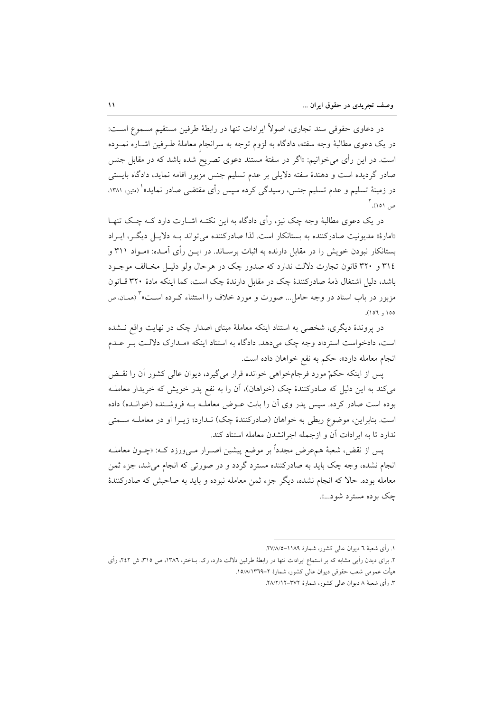در دعاوی حقوقی سند تجاری، اصولاً ایرادات تنها در رابطهٔ طرفین مستقیم مسموع است: در یک دعوی مطالبهٔ وجه سفته، دادگاه به لزوم توجه به سرانجام معاملهٔ طـرفین اشــاره نمــوده است. در این رأی میخوانیم: «اگر در سفتهٔ مستند دعوی تصریح شده باشد که در مقابل جنس صادر گردیده است و دهندهٔ سفته دلایلی بر عدم تسلیم جنس مزبور اقامه نماید، دادگاه بایستی در زمینهٔ تسلیم و عدم تسلیم جنس، رسیدگی کرده سپس رأی مقتضی صادر نماید»<sup>۱</sup> (متین، ۱۳۸۱، ص ٥١). آ

در یک دعوی مطالبهٔ وجه چک نیز، رأی دادگاه به این نکتـه اشــارت دارد کــه چــک تنهــا «امارهٔ» مدیونیت صادرکننده به بستانکار است. لذا صادرکننده می تواند بـه دلایـل دیگـر، ایـراد بستانکار نبودن خویش را در مقابل دارنده به اثبات برسـاند. در ایــن رأی آمــده: «مـواِد ۳۱۱ و ٣١٤ و ٣٢٠ قانون تجارت دلالت ندارد كه صدور چک در هرحال ولو دليـل مخـالف موجـود باشد، دلیل اشتغال ذمهٔ صادرکنندهٔ چک در مقابل دارندهٔ چک است، کما اینکه مادهٔ ۳۲۰ قـانون مزبور در باب اسناد در وجه حامل… صورت و مورد خلاف را استثناء کـرده اسـت» (ممـان ص  $001, 001$ .

در پروندهٔ دیگری، شخصی به استناد اینکه معاملهٔ مبنای اصدار چک در نهایت واقع نــشده است، دادخواست استرداد وجه چک می دهد. دادگاه به استناد اینکه «مـدارک دلالـت بـر عـدم انجام معامله دارد»، حكم به نفع خواهان داده است.

پس از اینکه حکمْ مورد فرجامخواهی خوانده قرار میگیرد، دیوان عالی کشور آن را نقـض می کند به این دلیل که صادرکنندهٔ چک (خواهان)، آن را به نفع پدر خویش که خریدار معاملـه بوده است صادر کرده. سیس پدر وی آن را بابت عـوض معاملـه بـه فروشـنده (خوانـده) داده است. بنابراین، موضوع ربطی به خواهان (صادرکنندهٔ چک) نـدارد؛ زیـرا او در معاملـه سـمتی ندارد تا به ایرادات آن و ازجمله اجرانشدن معامله استناد کند.

پس از نقض، شعبهٔ همءرض مجدداً بر موضع پیشین اصـرار مـیورزد کـه: «چــون معاملــه انجام نشده، وجه چک باید به صادرکننده مسترد گردد و در صورتی که انجام می شد، جزء ثمن معامله بوده. حالا که انجام نشده، دیگر جزء ثمن معامله نبوده و باید به صاحبش که صادرکنندهٔ چک بوده مسترد شود...».

۳. رأى شعبهٔ ۸ ديوان عالمي كشور، شمارهٔ ۳۷۲–۲۸/۲/۱۲.

١. رأى شعبهٔ ٦ ديوان عالى كشور، شمارهٔ ١١٨٩–٢٧/٨/٥.

۲. برای دیدن رأیے, مشابه که بر استماع ایرادات تنها در رابطهٔ طرفین دلالت دارد، رک. بــاختر، ۱۳۸٦، ص ۳۱۵، ش ۲٤۲، رأی هيأت عمومي شعب حقوقي ديوان عالى كشور، شمارة ٢–١٥/٨/١٣٦٩.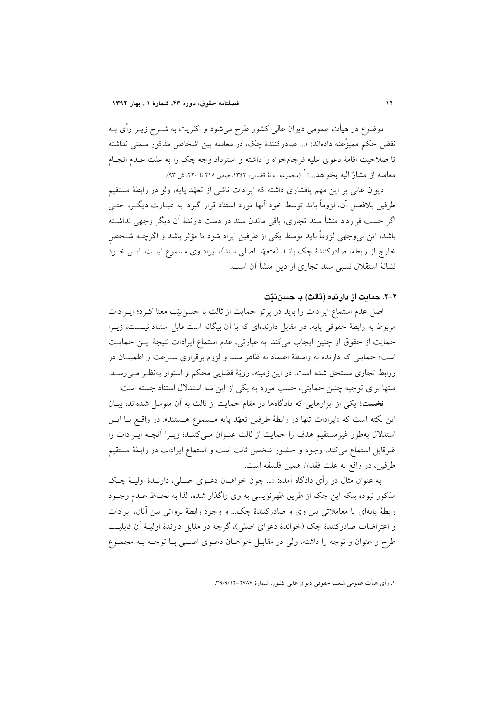موضوع در هیأت عمومی دیوان عالی کشور طرح میشود و اکثریت به شــرح زیــر رأی بــه نقض حکم ممیزٌعنه دادهاند: «... صادرکنندهٔ چک، در معامله بین اشخاص مذکور سمتی نداشته تا صلاحیت اقامهٔ دعوی علیه فرجامخواه را داشته و استرداد وجه چک را به علت عـدم انجـام معامله از مشارٌ اليه بخواهد...» ( مجموعه رويّة قضايي، ١٣٤٢، صص ٢١٨ تا ٢٢٠، ش ٩٣).

دیوان عالی بر این مهم پافشاری داشته که ایرادات ناشی از تعهّد پایه، ولو در رابطهٔ مستقیم طرفین بلافصل آن، لزوماً باید توسط خود آنها مورد استناد قرار گیرد. به عبـارت دیگــر، حتــی اگر حسب قرارداد منشأ سند تجارى، باقى ماندن سند در دست دارندهٔ آن ديگر وجهى نداشته باشد، این بی وجهی لزوماً باید توسط یکی از طرفین ایراد شود تا مؤثر باشد و اگرچــه شــخص خارج از رابطه، صادرکنندهٔ چک باشد (متعهّد اصلی سند)، ایراد وی مسموع نیست. ایـن خـود نشانهٔ استقلال نسبی سند تجاری از دین منشأ آن است.

#### ۲–۲. حمایت از دارینده (ثالث) یا حسن نتت

اصل عدم استماع ایرادات را باید در پرتو حمایت از ثالث با حسننیّت معنا کـرد؛ ایــرادات مربوط به رابطهٔ حقوقی پایه، در مقابل دارندهای که با آن بیگانه است قابل استناد نیـست، زیــرا حمایت از حقوق او چنین ایجاب میکند. به عبارتی، عدم استماع ایرادات نتیجهٔ ایـن حمایـت است؛ حمایتی که دارنده به واسطهٔ اعتماد به ظاهر سند و لزوم برقراری سـرعت و اطمینـان در روابط تجاری مستحق شده است. در این زمینه، رویّهٔ قضایی محکم و استوار بهنظـر مـیرسـد. منتها برای توجیه چنین حمایتی، حسب مورد به یکی از این سه استدلال استناد جسته است:

نخست؛ یکی از ابزارهایی که دادگاهها در مقام حمایت از ثالث به آن متوسل شدهاند، بیـان این نکته است که «ایرادات تنها در رابطهٔ طرفین تعهّد پایه مـسموع هـستند». در واقــع بــا ایــن استدلال بهطور غيرمستقيم هدف را حمايت از ثالث عنـوان مـي كننـد؛ زيـرا آنچـه ايـرادات را غیرقابل استماع میکند، وجود و حضور شخص ثالث است و استماع ایرادات در رابطهٔ مستقیم طرفين، در واقع به علت فقدان همين فلسفه است.

به عنوان مثال در رأى دادگاه آمده: «... چون خواهــان دعــوى اصــلى، دارنــدهٔ اوليــهٔ چــک مذكور نبوده بلكه اين چک از طريق ظهرنويسي به وي واگذار شده، لذا به لحـاظ عـدم وجــود رابطهٔ پایهای یا معاملاتی بین وی و صادرکنندهٔ چک... و وجود رابطهٔ برواتی بین آنان، ایرادات و اعتراضات صادرکنندهٔ چک (خواندهٔ دعوای اصلی)، گرچه در مقابل دارندهٔ اولیـهٔ آن قابلیـت طرح و عنوان و توجه را داشته، ولي در مقابـل خواهــان دعــوي اصــلي بــا توجــه بــه مجمــوع

١. رأى هيأت عمومى شعب حقوقى ديوان عالى كشور، شمارهٔ ٢٧٨٧–٢٩/٩/١٢.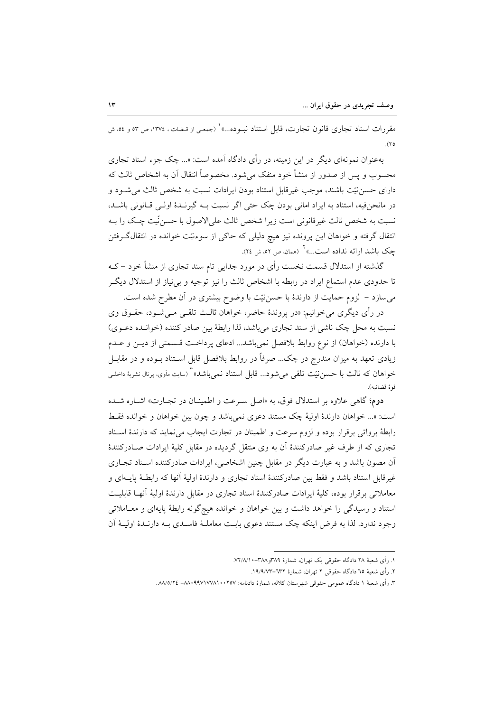مقررات اسناد تجاري قانون تجارت، قابل استناد نبـوده...» ( جمعي از قـضات ، ١٣٧٤، ص ٥٣ و ٥٤، ش  $(\gamma_0)$ 

بهعنوان نمونهای دیگر در این زمینه، در رأی دادگاه آمده است: «... چک جزء اسناد تجاری محسوب و پس از صدور از منشأ خود منفک می شود. مخصوصاً انتقال آن به اشخاص ثالث که دارای حسن نیّت باشند، موجب غیرقابل استناد بودن ایرادات نسبت به شخص ثالث می شـود و در مانحنفیه، استناد به ایراد امانی بودن چک حتی اگر نسبت بـه گیرنـدهٔ اولـی قـانونی باشـد، نسبت به شخص ثالث غيرقانوني است زيرا شخص ثالث علىالاصول با حسن نّيت چـك را بــه انتقال گرفته و خواهان این پرونده نیز هیچ دلیلی که حاکی از سوءنیّت خوانده در انتقال گرفتن چک باشد ارائه نداده است…» <sup>۱</sup> (همان ص ٥٢، ش ٢٤).

گذشته از استدلال قسمت نخست رأی در مورد جدایی تام سند تجاری از منشأ خود – کـه تا حدودی عدم استماع ایراد در رابطه با اشخاص ثالث را نیز توجیه و بی نیاز از استدلال دیگر میسازد – لزوم حمایت از دارندهٔ با حسننیّت با وضوح بیشتری در اَن مطرح شده است.

در رأى ديگرى مىخوانيم: «در پروندهٔ حاضر، خواهان ثالـث تلقــى مــىشــود، حقــوق وى نسبت به محل چک ناشی از سند تجاری میباشد، لذا رابطهٔ بین صادر کننده (خوانـده دعـوی) با دارنده (خواهان) از نوع روابط بلافصل نمي باشد... ادعاى پرداخت قسمتى از ديـن و عـدم زیادی تعهد به میزان مندرج در چک… صرفاً در روابط بلافصل قابل اسـتناد بـوده و در مقابــل خواهان که ثالث با حسنiیّت تلقی میشود... قابل استناد نمیباشد» ٌ (سایت مأوی<sub>)</sub> پرتال نشریهٔ داخلـی قوة قضائيه).

دوم؛ گاهی علاوه بر استدلال فوق، به «اصل سرعت و اطمینان در تجارت» اشاره شده است: «... خواهان دارندهٔ اولیهٔ چک مستند دعوی نمی باشد و چون بین خواهان و خوانده فقط رابطهٔ برواتی برقرار بوده و لزوم سرعت و اطمینان در تجارت ایجاب می نماید که دارندهٔ اسـناد تجاری که از طرف غیر صادرکنندهٔ آن به وی منتقل گردیده در مقابل کلیهٔ ایرادات صـادرکنندهٔ آن مصون باشد و به عبارت دیگر در مقابل چنین اشخاصی، ایرادات صادرکننده اسـناد تجـاری غیر قابل استناد باشد و فقط بین صادرکنندهٔ اسناد تجاری و دارندهٔ اولیهٔ آنها که رابطـهٔ پایـهای و معاملاتی برقرار بوده، کلیهٔ ایرادات صادرکنندهٔ اسناد تجاری در مقابل دارندهٔ اولیهٔ آنهـا قابلیـت استناد و رسیدگی را خواهد داشت و بین خواهان و خوانده هیچگونه رابطهٔ پایهای و معـاملاتی وجود ندارد. لذا به فرض اینکه چک مستند دعوی بابـت معاملـهٔ فاسـدی بـه دارنـدهٔ اولیـهٔ آن

١. رأى شعبة ٢٨ دادگاه حقوقي يک تهران، شمارة ٣٨٩و٣٨/١٠-٧٢/٨/١.

۲. رأى شعبهٔ ٦٥ دادگاه حقوقى ٢ تهران، شمارهٔ ٦٣٢–١٩/٩/٧٣.

۳. رأى شعبهٔ ۱ دادگاه عمومى حقوقى شهرستان كلاله، شمارهٔ دادنامه: ۸۸/۵/۱۰۰۲۵۷/۱۰۰۲۵۸. ۸۸/۵/۲٤.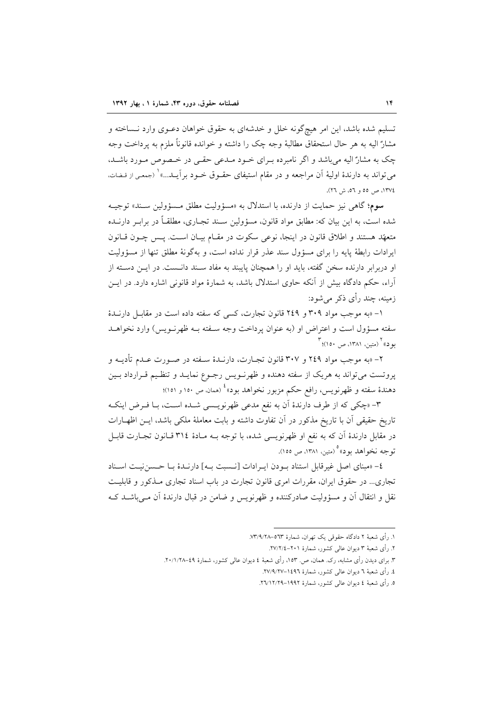تسلیم شده باشد، این امر هیچگونه خلل و خدشهای به حقوق خواهان دعـوی وارد نـساخته و مشارٌ اليه به هر حال استحقاق مطالبهٔ وجه چک را داشته و خوانده قانوناً ملزم به يرداخت وجه چک به مشارٌ اليه مي باشد و اگر نامبرده بـراي خـود مـدعى حقـي در خـصوص مـورد باشـد، مي تواند به دارندهٔ اوليهٔ آن مراجعه و در مقام استيفاي حقـوق خـود برآيـد...» ( (جمعـي از قـضات، ١٣٧٤، ص ٥٥ و ٥٦، ش ٢٦).

سوم؛ گاهي نيز حمايت از دارنده، با استدلال به «مسؤوليت مطلق مـسؤولين سـند» توجيـه شده است، به این بیان که: مطابق مواد قانون، مسؤولین سـند تجـاری، مطلقـاً در برابـر دارنــده متعهّد هستند و اطلاق قانون در اینجا، نوعی سکوت در مقـام بیـان اسـت. پـس چــون قــانون ایرادات رابطهٔ پایه را برای مسؤول سند عذر قرار نداده است، و بهگونهٔ مطلق تنها از مسؤولیت او دربرابر دارنده سخن گفته، باید او را همچنان پایبند به مفاد سـند دانـست. در ایــن دسـته از آراء، حکم دادگاه بیش از آنکه حاوی استدلال باشد، به شمارهٔ مواد قانونی اشاره دارد. در ایــن زمینه، چند رأی ذکر می شود:

۱– «به موجب مواد ۳۰۹ و ۲٤۹ قانون تجارت، کسی که سفته داده است در مقابل دارنـدهٔ سفته مسؤول است و اعتراض او (به عنوان پرداخت وجه سـفته بـه ظهرنـویس) وارد نخواهـد یو د)) (متین، ۱۳۸۱، ص ۱۵۰)؛ "

۲– «به موجب مواد ۲٤۹ و ۳۰۷ قانون تجــارت، دارنــدهٔ ســفته در صــورت عــدم تأديــه و پروتست می تواند به هریک از سفته دهنده و ظهرنـویس رجـوع نمایـد و تنظـیم قـرارداد بـین دهندهٔ سفته و ظهرنویس، رافع حکم مزبور نخواهد بود» ٔ (ممان، ص ۱۰۰ و ۱۰۱)؛

٣- «چکی که از طرف دارندهٔ اَن به نفع مدعی ظهرنویسمی شـده اسـت، بـا فـرض اینکـه تاریخ حقیقی آن با تاریخ مذکور در آن تفاوت داشته و بابت معاملهٔ ملکی باشد، ایــن اظهــارات در مقابل دارندهٔ آن که به نفع او ظهرنویسی شده، با توجه بــه مــادهٔ ۳۱٤ قــانون تجــارت قابــل تو جه نخواهد بو د»° (متين، ١٣٨١، ص ١٥٥).

٤- «مبناى اصل غيرقابل استناد بودن ايبرادات [نسبت به] دارنـدۀ بـا حـسن نيـت اسـناد تجاری... در حقوق ایران، مقررات امری قانون تجارت در باب اسناد تجاری مـذکور و قابلیـت نقل و انتقال آن و مسؤولیت صادرکننده و ظهرنویس و ضامن در قبال دارندهٔ آن مــی،باشــد کــه

١. رأى شعبهٔ ٢ دادگاه حقوقي يک تهران، شمارهٔ ٥٦٣-٧٣/٩/٢٨.

۲. رأى شعبهٔ ۳ ديوان عالي كشور، شمارهٔ ۲۰۱–۲۷/۲/٤.

۳. برای دیدن رأی مشابه، رک. همان، ص. ۱۵۳. رأی شعبهٔ ٤ دیوان عالم کشور، شمارهٔ ٤٩-۲۰/۱/۲۸.

٤. رأى شعبهٔ ٦ ديوان عالى كشور، شمارهٔ ١٤٩٦–٢٧/٩/٢٧.

٥. رأى شعبة ٤ ديوان عالى كشور، شمارة ١٩٩٢–٢٦/١٢/٢٩.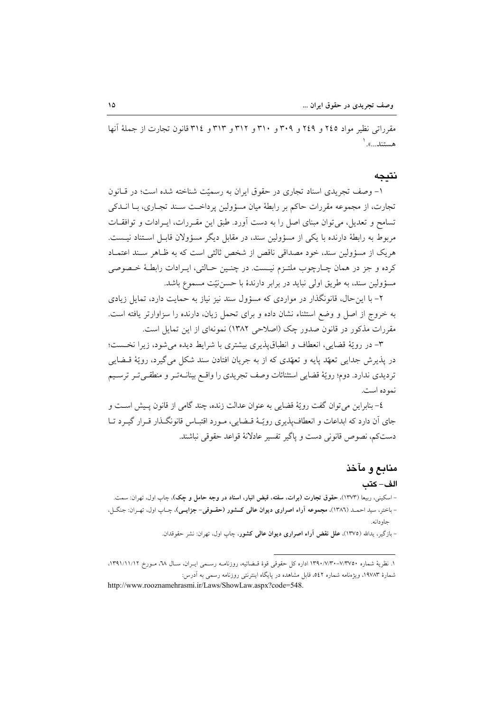مقرراتی نظیر مواد ٢٤٥ و ٢٤٩ و ٣٠٩ و ٣١٠ و ٣١٢ و ٣١٣ و ٣١٤ قانون تجارت از جملهٔ آنها هستند....». ا

#### نتىجە

١- وصف تجريدي اسناد تجاري در حقوق ايران به رسميّت شناخته شده است؛ در قبانون تجارت، از مجموعه مقررات حاكم بر رابطهٔ ميان مسؤولين پرداخت سـند تجـاري، بـا انــدكى تسامح و تعدیل، می توان مبنای اصل را به دست آورد. طبق این مقـررات، ایـرادات و توافقـات مربوط به رابطهٔ دارنده با یکی از مسؤولین سند، در مقابل دیگر مسؤولان قابـل اسـتناد نیـست. هريک از مسؤولين سند، خود مصداقي ناقص از شخص ثالثي است که به ظـاهر سـند اعتمـاد كرده و جز در همان چـارچوب ملتـزم نيـست. در چنـين حـالتي، ايـرادات رابطـهٔ خـصوصي مسؤولين سند، به طريق اولى نبايد در برابر دارندهٔ با حسن نيّت مسموع باشد.

۲- با این حال، قانونگذار در مواردی که مسؤول سند نیز نیاز به حمایت دارد، تمایل زیادی به خروج از اصل و وضع استثناء نشان داده و برای تحمل زیان، دارنده را سزاوارتر یافته است. مقررات مذکور در قانون صدور چک (اصلاحی ۱۳۸۲) نمونهای از این تمایل است.

٣- در رويّة قضايي، انعطاف و انطباق پذيري بيشتري با شرايط ديده مي شود، زيرا نخست؛ در پذيرش جدايي تعهّد پايه و تعهّدي كه از به جريان افتادن سند شكل مي گيرد، رويّهٔ قــضايي ترديدي ندارد. دوم؛ رويّة قضايي استثنائات وصف تجريدي را واقبع بينانــهتـر و منطقــيتـر ترسـيم نمو ده است.

٤– بنابراين مي توان گفت رويّة قضايي به عنوان عدالت زنده، چند گامي از قانون پـيش اسـت و جای آن دارد که ابداعات و انعطاف پذیری رویّـهٔ قــضایی، مــورد اقتبــاس قانونگــذار قــرار گیــرد تــا دستكم، نصوص قانوني دست و ياگير تفسير عادلانهٔ قواعد حقوقي نباشند.

# منابع و مآخذ

#### الف-كتب

– اسکینی، ربیعا (۱۳۷۳)، حقوق تجارت (برات، سفته، قبض انبار، اسناد در وجه حامل و چک)، چاپ اول، تهران: سمت. - باختر، سید احمـد (١٣٨٦)، مجموعه أراء اصراري ديوان عالمي كــشور (حقــوقي- جزايــي)، چـاپ اول، تهـران: جنگـل، حاو دانه.

– بازگیر، یدالله (١٣٧٥)، علل نقض آراء اصراری دیوان عالمی کشور، چاپ اول، تهران: نشر حقوقدان.

۱. نظریهٔ شماره ۷/۳۷۰-۱۳۹۰/۷/۳۰-۱۳۹۰ اداره کل حقوقی قوهٔ قـضائیه، روزنامـه رسـمی ایــران، ســال ۲۸، مــورخ ۱۳۹۱/۱۱/۱۲، شمارهٔ ۱۹۷۸۳، ویژهنامه شماره ٥٤٢، قابل مشاهده در پایگاه اینترنتی روزنامه رسمی به آدرس: